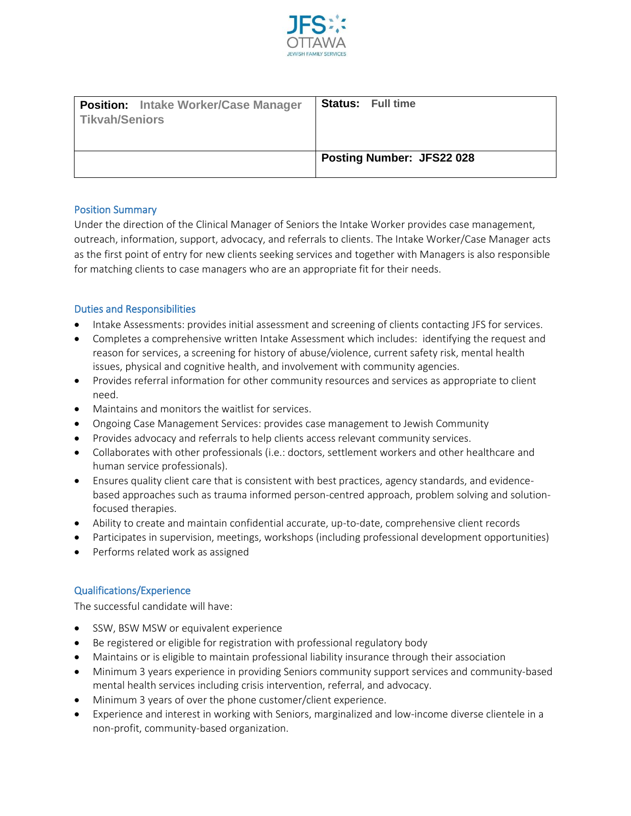

| <b>Position:</b> Intake Worker/Case Manager<br>Tikvah/Seniors | <b>Status:</b> Full time         |
|---------------------------------------------------------------|----------------------------------|
|                                                               | <b>Posting Number: JFS22 028</b> |

## Position Summary

Under the direction of the Clinical Manager of Seniors the Intake Worker provides case management, outreach, information, support, advocacy, and referrals to clients. The Intake Worker/Case Manager acts as the first point of entry for new clients seeking services and together with Managers is also responsible for matching clients to case managers who are an appropriate fit for their needs.

## Duties and Responsibilities

- Intake Assessments: provides initial assessment and screening of clients contacting JFS for services.
- Completes a comprehensive written Intake Assessment which includes: identifying the request and reason for services, a screening for history of abuse/violence, current safety risk, mental health issues, physical and cognitive health, and involvement with community agencies.
- Provides referral information for other community resources and services as appropriate to client need.
- Maintains and monitors the waitlist for services.
- Ongoing Case Management Services: provides case management to Jewish Community
- Provides advocacy and referrals to help clients access relevant community services.
- Collaborates with other professionals (i.e.: doctors, settlement workers and other healthcare and human service professionals).
- Ensures quality client care that is consistent with best practices, agency standards, and evidencebased approaches such as trauma informed person-centred approach, problem solving and solutionfocused therapies.
- Ability to create and maintain confidential accurate, up-to-date, comprehensive client records
- Participates in supervision, meetings, workshops (including professional development opportunities)
- Performs related work as assigned

## Qualifications/Experience

The successful candidate will have:

- SSW, BSW MSW or equivalent experience
- Be registered or eligible for registration with professional regulatory body
- Maintains or is eligible to maintain professional liability insurance through their association
- Minimum 3 years experience in providing Seniors community support services and community-based mental health services including crisis intervention, referral, and advocacy.
- Minimum 3 years of over the phone customer/client experience.
- Experience and interest in working with Seniors, marginalized and low-income diverse clientele in a non-profit, community-based organization.